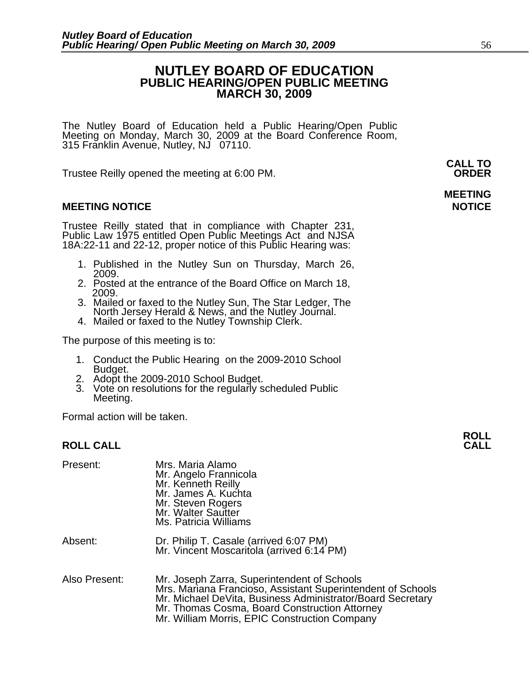### **NUTLEY BOARD OF EDUCATION PUBLIC HEARING/OPEN PUBLIC MEETING MARCH 30, 2009**

The Nutley Board of Education held a Public Hearing/Open Public Meeting on Monday, March 30, 2009 at the Board Conference Room, 315 Franklin Avenue, Nutley, NJ 07110.

Trustee Reilly opened the meeting at 6:00 PM. **ORDER**

#### **MEETING NOTICE NOTICE AND INCOMEDIATE**

Trustee Reilly stated that in compliance with Chapter 231, Public Law 1975 entitled Open Public Meetings Act and NJSA 18A:22-11 and 22-12, proper notice of this Public Hearing was:

- 1. Published in the Nutley Sun on Thursday, March 26, 2009.
- 2. Posted at the entrance of the Board Office on March 18, 2009.
- 3. Mailed or faxed to the Nutley Sun, The Star Ledger, The North Jersey Herald & News, and the Nutley Journal. 4. Mailed or faxed to the Nutley Township Clerk.
- 

The purpose of this meeting is to:

- 1. Conduct the Public Hearing on the 2009-2010 School<br>Budget.<br>2. Adopt the 2009-2010 School Budget.
- 
- 3. Vote on resolutions for the regularly scheduled Public Meeting.

Formal action will be taken.

| Present:      | Mrs. Maria Alamo<br>Mr. Angelo Frannicola<br>Mr. Kenneth Reilly<br>Mr. James A. Kuchta<br>Mr. Steven Rogers<br>Mr. Walter Sautter<br>Ms. Patricia Williams                                                                                                                 |
|---------------|----------------------------------------------------------------------------------------------------------------------------------------------------------------------------------------------------------------------------------------------------------------------------|
| Absent:       | Dr. Philip T. Casale (arrived 6:07 PM)<br>Mr. Vincent Moscaritola (arrived 6:14 PM)                                                                                                                                                                                        |
| Also Present: | Mr. Joseph Zarra, Superintendent of Schools<br>Mrs. Mariana Francioso, Assistant Superintendent of Schools<br>Mr. Michael DeVita, Business Administrator/Board Secretary<br>Mr. Thomas Cosma, Board Construction Attorney<br>Mr. William Morris, EPIC Construction Company |

**CALL TO** 

# **MEETING**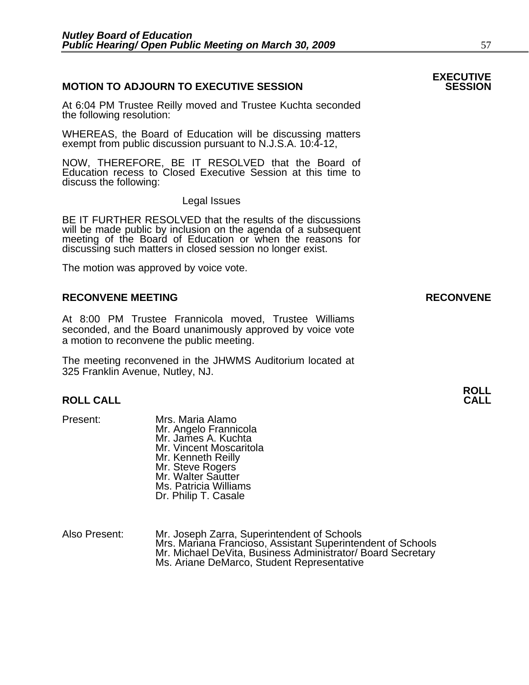### **MOTION TO ADJOURN TO EXECUTIVE SESSION**

At 6:04 PM Trustee Reilly moved and Trustee Kuchta seconded the following resolution:

WHEREAS, the Board of Education will be discussing matters exempt from public discussion pursuant to N.J.S.A. 10:4-12,

NOW, THEREFORE, BE IT RESOLVED that the Board of Education recess to Closed Executive Session at this time to discuss the following:

Legal Issues

BE IT FURTHER RESOLVED that the results of the discussions will be made public by inclusion on the agenda of a subsequent meeting of the Board of Education or when the reasons for discussing such matters in closed session no longer exist.

The motion was approved by voice vote.

#### **RECONVENE MEETING RECONVENE**

At 8:00 PM Trustee Frannicola moved, Trustee Williams seconded, and the Board unanimously approved by voice vote a motion to reconvene the public meeting.

The meeting reconvened in the JHWMS Auditorium located at 325 Franklin Avenue, Nutley, NJ.

## **ROLL ROLL CALL CALL**

- Present: Mrs. Maria Alamo Mr. Angelo Frannicola Mr. James A. Kuchta Mr. Vincent Moscaritola Mr. Kenneth Reilly Mr. Steve Rogers Mr. Walter Sautter Ms. Patricia Williams Dr. Philip T. Casale
- Also Present: Mr. Joseph Zarra, Superintendent of Schools Mrs. Mariana Francioso, Assistant Superintendent of Schools Mr. Michael DeVita, Business Administrator/ Board Secretary Ms. Ariane DeMarco, Student Representative

# **EXECUTIVE**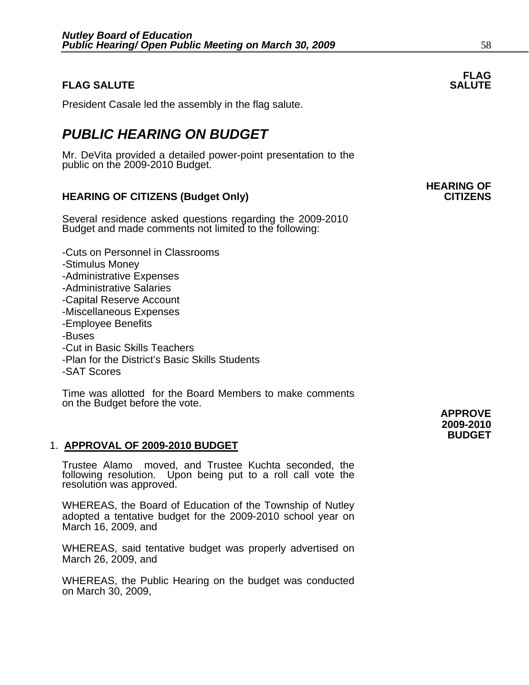#### **FLAG FLAG SALUTE** SALUTE SALUTE SALUTE SALUTE SALUTE

President Casale led the assembly in the flag salute.

## *PUBLIC HEARING ON BUDGET*

Mr. DeVita provided a detailed power-point presentation to the public on the 2009-2010 Budget.

### **HEARING OF CITIZENS (Budget Only) CITIZENS**

Several residence asked questions regarding the 2009-2010 Budget and made comments not limited to the following:

-Cuts on Personnel in Classrooms -Stimulus Money -Administrative Expenses -Administrative Salaries -Capital Reserve Account -Miscellaneous Expenses -Employee Benefits -Buses -Cut in Basic Skills Teachers -Plan for the District's Basic Skills Students -SAT Scores

Time was allotted for the Board Members to make comments on the Budget before the vote.

#### 1. **APPROVAL OF 2009-2010 BUDGET**

Trustee Alamo moved, and Trustee Kuchta seconded, the following resolution. Upon being put to a roll call vote the resolution was approved.

WHEREAS, the Board of Education of the Township of Nutley adopted a tentative budget for the 2009-2010 school year on March 16, 2009, and

WHEREAS, said tentative budget was properly advertised on March 26, 2009, and

WHEREAS, the Public Hearing on the budget was conducted on March 30, 2009,

 **APPROVE 2009-2010 BUDGET**

# **HEARING OF**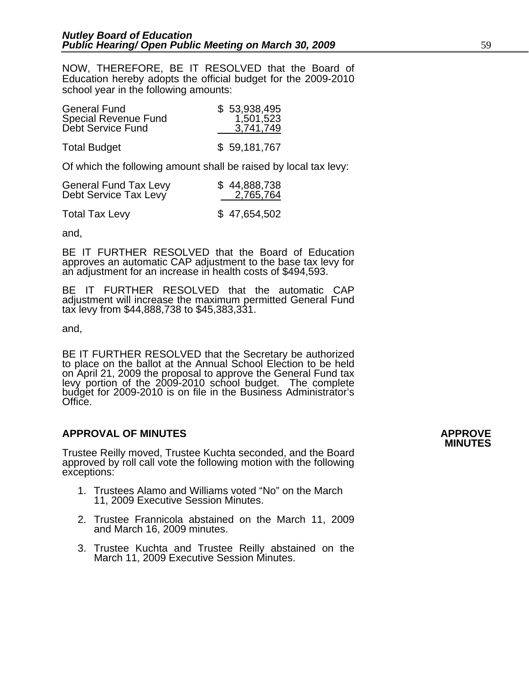NOW, THEREFORE, BE IT RESOLVED that the Board of Education hereby adopts the official budget for the 2009-2010 school year in the following amounts:

| <b>General Fund</b><br>Special Revenue Fund<br>Debt Service Fund | \$53,938,495<br>1,501,523<br>3,741,749 |
|------------------------------------------------------------------|----------------------------------------|
| <b>Total Budget</b>                                              | \$59,181,767                           |

Of which the following amount shall be raised by local tax levy:

| <b>General Fund Tax Levy</b> | \$44,888,738 |
|------------------------------|--------------|
| Debt Service Tax Levy        | 2,765,764    |
| <b>Total Tax Levy</b>        | \$47,654,502 |

and,

BE IT FURTHER RESOLVED that the Board of Education approves an automatic CAP adjustment to the base tax levy for an adjustment for an increase in health costs of \$494,593.

BE IT FURTHER RESOLVED that the automatic CAP adjustment will increase the maximum permitted General Fund tax levy from \$44,888,738 to \$45,383,331.

and,

BE IT FURTHER RESOLVED that the Secretary be authorized to place on the ballot at the Annual School Election to be held on April 21, 2009 the proposal to approve the General Fund tax levy portion of the 2009-2010 school budget. The complete budget for 2009-2010 is on file in the Business Administrator's Office.

## **APPROVAL OF MINUTES APPROVE**

Trustee Reilly moved, Trustee Kuchta seconded, and the Board approved by roll call vote the following motion with the following exceptions:

- 1. Trustees Alamo and Williams voted "No" on the March 11, 2009 Executive Session Minutes.
- 2. Trustee Frannicola abstained on the March 11, 2009 and March 16, 2009 minutes.
- 3. Trustee Kuchta and Trustee Reilly abstained on the March 11, 2009 Executive Session Minutes.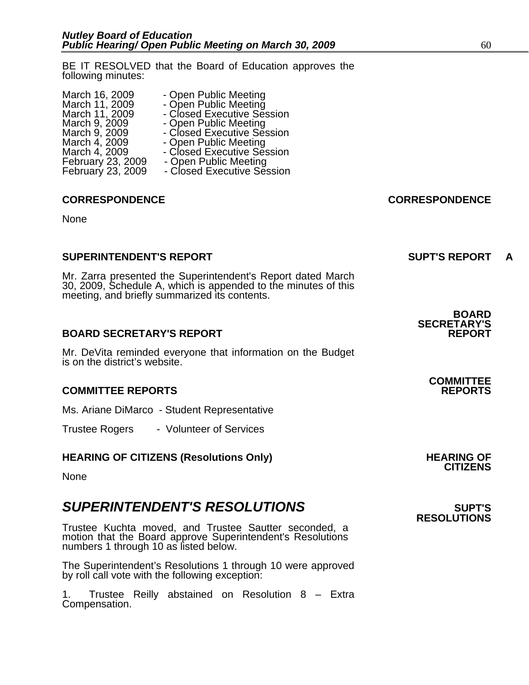BE IT RESOLVED that the Board of Education approves the following minutes:

| March 16, 2009           | - Open Public Meeting      |
|--------------------------|----------------------------|
| March 11, 2009           | - Open Public Meeting      |
| March 11, 2009           | - Closed Executive Session |
| March 9, 2009            | - Open Public Meeting      |
| March 9, 2009            | - Closed Executive Session |
| March 4, 2009            | - Open Public Meeting      |
| March 4, 2009            | - Closed Executive Session |
| February 23, 2009        | - Open Public Meeting      |
| <b>February 23, 2009</b> | - Closed Executive Session |

- 
- 
- March 11, 2009 Closed Executive Session
	-
	-
	-
	- Open Public Meeting<br>- Closed Executive Session -<br>9 Open Public Meeting
		-
	- February 2009<br>
	2009 Open Public Meeting<br>
	2009 Closed Executive Session

#### **CORRESPONDENCE CORRESPONDENCE**

None

#### **SUPERINTENDENT'S REPORT SUPT'S REPORT A**

Mr. Zarra presented the Superintendent's Report dated March 30, 2009, Schedule A, which is appended to the minutes of this meeting, and briefly summarized its contents.

### **BOARD SECRETARY'S REPORT**

Mr. DeVita reminded everyone that information on the Budget is on the district's website.

#### **COMMITTEE REPORTS REPORTS**

Ms. Ariane DiMarco - Student Representative

Trustee Rogers - Volunteer of Services

## **HEARING OF CITIZENS (Resolutions Only) HEARING OF CITIZENS**

None

### **SUPERINTENDENT'S RESOLUTIONS EXAMPLE ASSESSED ASSESSED ASSESSED ASSESSED ASSESSED ASSESSED ASSESSED ASSESSED ASSESSED ASSESSED ASSESSED ASSESSED ASSESSED ASSESSED ASSESSED ASSESSED ASSESSED ASSESSED ASSESSED ASSESSED AS**

Trustee Kuchta moved, and Trustee Sautter seconded, a motion that the Board approve Superintendent's Resolutions numbers 1 through 10 as listed below.

The Superintendent's Resolutions 1 through 10 were approved by roll call vote with the following exception:

1. Trustee Reilly abstained on Resolution 8 – Extra Compensation.

## **BOARD SECRETARY'S**

# **COMMITTEE**

# **RESOLUTIONS**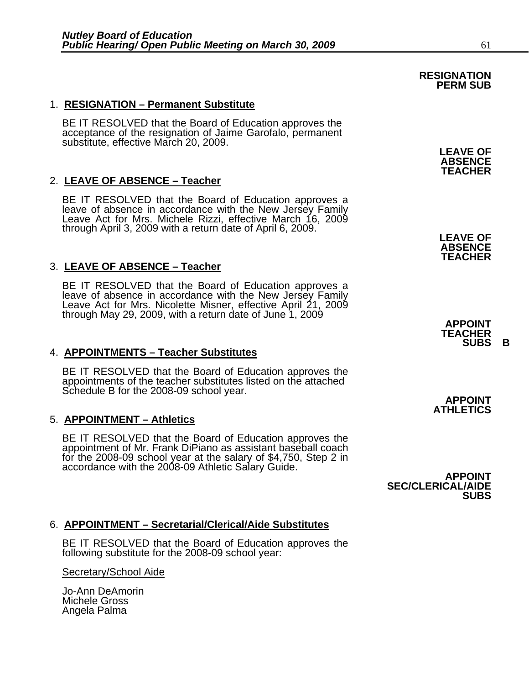#### 1. **RESIGNATION – Permanent Substitute**

BE IT RESOLVED that the Board of Education approves the acceptance of the resignation of Jaime Garofalo, permanent substitute, effective March 20, 2009.

#### 2. **LEAVE OF ABSENCE – Teacher**

BE IT RESOLVED that the Board of Education approves a leave of absence in accordance with the New Jersey Family Leave Act for Mrs. Michele Rizzi, effective March 16, 2009 through April 3, 2009 with a return date of April 6, 2009.

#### 3. **LEAVE OF ABSENCE – Teacher**

BE IT RESOLVED that the Board of Education approves a<br>leave of absence in accordance with the New Jersey Family<br>Leave Act for Mrs. Nicolette Misner, effective April 21, 2009 through May 29, 2009, with a return date of June 1, 2009<br>**APPOINT**<br>SUBS B

#### 4. **APPOINTMENTS – Teacher Substitutes**

BE IT RESOLVED that the Board of Education approves the appointments of the teacher substitutes listed on the attached Schedule B for the 2008-09 school year. **APPOINT ATHLETICS** 

#### 5. **APPOINTMENT – Athletics**

BE IT RESOLVED that the Board of Education approves the appointment of Mr. Frank DiPiano as assistant baseball coach for the 2008-09 school year at the salary of \$4,750, Step 2 in<br>accordance with the 2008-09 Athletic Salary Guide.<br>**SEC/CLERICAL/AIDE**<br>**SUBS** 

#### 6. **APPOINTMENT – Secretarial/Clerical/Aide Substitutes**

BE IT RESOLVED that the Board of Education approves the following substitute for the 2008-09 school year:

#### Secretary/School Aide

Jo-Ann DeAmorin Michele Gross Angela Palma

## **RESIGNATION PERM SUB**

**LEAVE OF ABSENCE TEACHER** 

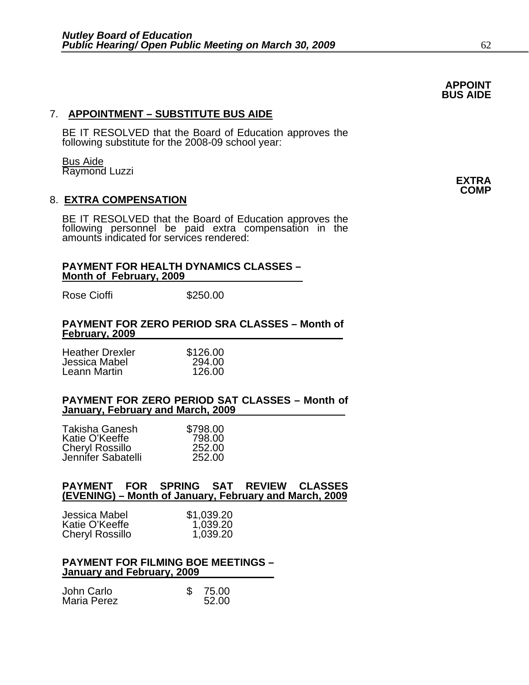### 7. **APPOINTMENT – SUBSTITUTE BUS AIDE**

BE IT RESOLVED that the Board of Education approves the following substitute for the 2008-09 school year:

**APPOINT BUS AIDE** 

**Bus Aide**<br>Raymond Luzzi Raymond Luzzi **EXTRA COMP** 

### 8. **EXTRA COMPENSATION**

BE IT RESOLVED that the Board of Education approves the following personnel be paid extra compensation in the amounts indicated for services rendered:

#### **PAYMENT FOR HEALTH DYNAMICS CLASSES – Month of February, 2009**

Rose Cioffi \$250.00

#### **PAYMENT FOR ZERO PERIOD SRA CLASSES – Month of February, 2009**

| <b>Heather Drexler</b> | \$126.00 |
|------------------------|----------|
| Jessica Mabel          | 294.00   |
| Leann Martin           | 126.00   |

#### **PAYMENT FOR ZERO PERIOD SAT CLASSES – Month of January, February and March, 2009**

| Takisha Ganesh         | \$798.00 |
|------------------------|----------|
| Katie O'Keeffe         | 798.00   |
| <b>Cheryl Rossillo</b> | 252.00   |
| Jennifer Sabatelli     | 252.00   |
|                        |          |

#### **PAYMENT FOR SPRING SAT REVIEW CLASSES (EVENING) – Month of January, February and March, 2009**

| Jessica Mabel          | \$1,039.20 |
|------------------------|------------|
| Katie O'Keeffe         | 1,039.20   |
| <b>Cheryl Rossillo</b> | 1,039.20   |

#### **PAYMENT FOR FILMING BOE MEETINGS – January and February, 2009**

| John Carlo         | 75.00 |
|--------------------|-------|
| <b>Maria Perez</b> | 52.00 |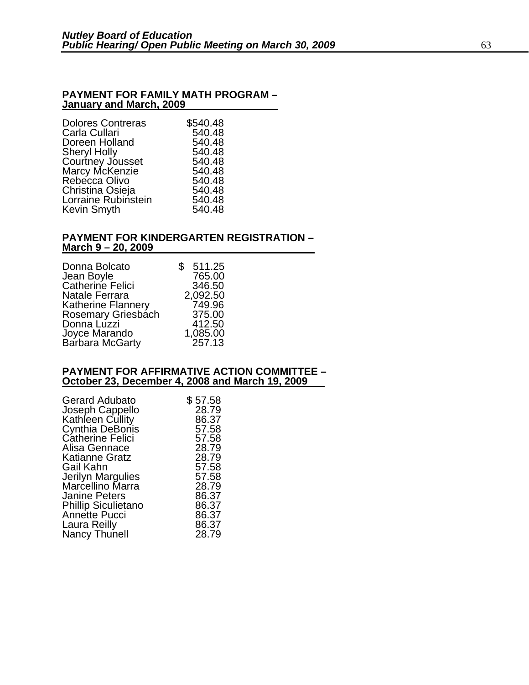#### **PAYMENT FOR FAMILY MATH PROGRAM – January and March, 2009**

| \$540.48 |
|----------|
| 540.48   |
| 540.48   |
| 540.48   |
| 540.48   |
| 540.48   |
| 540.48   |
| 540.48   |
| 540.48   |
| 540.48   |
|          |

#### **PAYMENT FOR KINDERGARTEN REGISTRATION – March 9 – 20, 2009**

| Donna Bolcato<br>Jean Boyle<br>Catherine Felici<br><b>Natale Ferrara</b> | 511.25<br>\$<br>765.00<br>346.50<br>2,092.50 |
|--------------------------------------------------------------------------|----------------------------------------------|
| <b>Katherine Flannery</b>                                                | 749.96                                       |
| Rosemary Griesbach                                                       | 375.00                                       |
| Donna Luzzi                                                              | 412.50                                       |
| Joyce Marando                                                            | 1,085.00                                     |
| Barbara McGarty                                                          | 257.13                                       |

#### **PAYMENT FOR AFFIRMATIVE ACTION COMMITTEE – October 23, December 4, 2008 and March 19, 2009**

| <b>Gerard Adubato</b>      | \$57.58 |
|----------------------------|---------|
| Joseph Cappello            | 28.79   |
| Kathleen Cullity           | 86.37   |
| Cynthia DeBonis            | 57.58   |
| <b>Catherine Felici</b>    | 57.58   |
| Alisa Gennace              | 28.79   |
| <b>Katianne Gratz</b>      | 28.79   |
| Gail Kahn                  | 57.58   |
| Jerilyn Margulies          | 57.58   |
| Marcellino Marra           | 28.79   |
| <b>Janine Peters</b>       | 86.37   |
| <b>Phillip Siculietano</b> | 86.37   |
| <b>Annette Pucci</b>       | 86.37   |
| Laura Reilly               | 86.37   |
| Nancy Thunell              | 28.79   |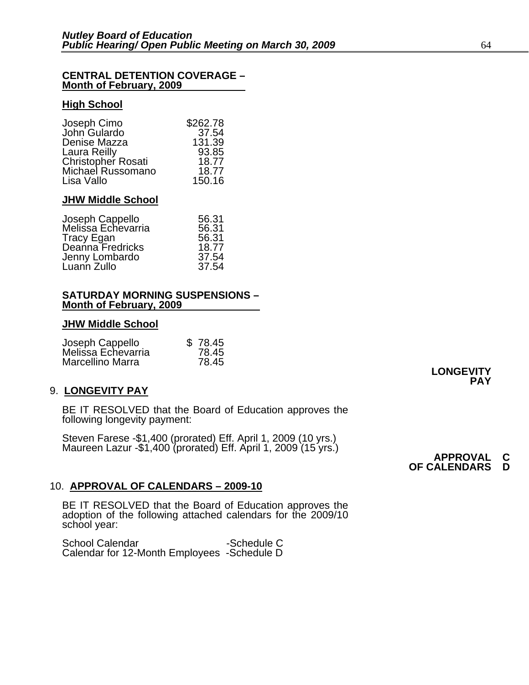#### **CENTRAL DETENTION COVERAGE – Month of February, 2009**

#### **High School**

| Joseph Cimo        | \$262.78 |
|--------------------|----------|
| John Gulardo       | 37.54    |
| Denise Mazza       | 131.39   |
| Laura Reilly       | 93.85    |
| Christopher Rosati | 18.77    |
| Michael Russomano  | 18.77    |
| Lisa Vallo         | 150.16   |

#### **JHW Middle School**

| Joseph Cappello    | 56.31 |
|--------------------|-------|
| Melissa Echevarria | 56.31 |
| Tracy Egan         | 56.31 |
| Deanna Fredricks   | 18.77 |
| Jenny Lombardo     | 37.54 |
| Luann Zullo        | 37.54 |

#### **SATURDAY MORNING SUSPENSIONS – Month of February, 2009**

#### **JHW Middle School**

| Joseph Cappello    | \$78.45 |
|--------------------|---------|
| Melissa Echevarria | 78.45   |
| Marcellino Marra   | 78.45   |

#### 9. **LONGEVITY PAY**

BE IT RESOLVED that the Board of Education approves the following longevity payment:

Steven Farese -\$1,400 (prorated) Eff. April 1, 2009 (10 yrs.)<br>Maureen Lazur -\$1,400 (prorated) Eff. April 1, 2009 (15 yrs.) **APPROVAL C**<br>**OF CALENDARS D** 

#### 10. **APPROVAL OF CALENDARS – 2009-10**

BE IT RESOLVED that the Board of Education approves the adoption of the following attached calendars for the 2009/10 school year:

School Calendar -Schedule C Calendar for 12-Month Employees -Schedule D

**LONGEVITY PAY**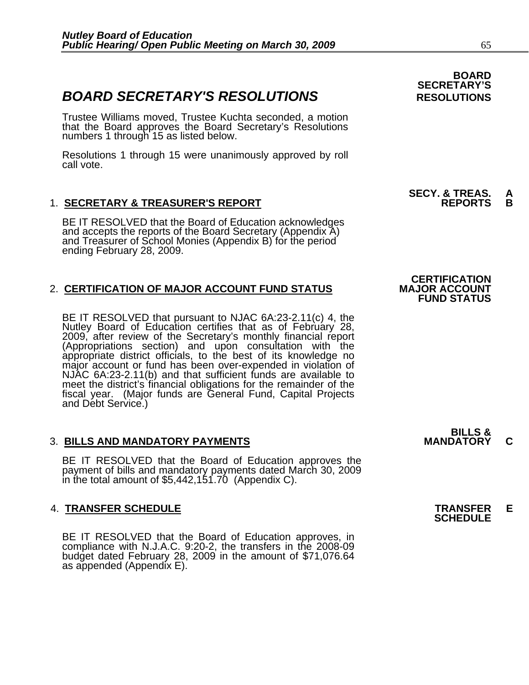## **BOARD SECRETARY'S RESOLUTIONS** RESOLUTIONS

Trustee Williams moved, Trustee Kuchta seconded, a motion that the Board approves the Board Secretary's Resolutions numbers 1 through 15 as listed below.

Resolutions 1 through 15 were unanimously approved by roll call vote.

### 1. **SECRETARY & TREASURER'S REPORT**

BE IT RESOLVED that the Board of Education acknowledges and accepts the reports of the Board Secretary (Appendix A) and Treasurer of School Monies (Appendix B) for the period ending February 28, 2009.

### 2. **CERTIFICATION OF MAJOR ACCOUNT FUND STATUS**

BE IT RESOLVED that pursuant to NJAC 6A:23-2.11(c) 4, the<br>Nutley Board of Education certifies that as of February 28,<br>2009, after review of the Secretary's monthly financial report (Appropriations section) and upon consultation with the<br>appropriate district officials, to the best of its knowledge no<br>major account or fund has been over-expended in violation of<br>NJAC 6A:23-2.11(b) and that sufficient fu major account or fund has been over-expended in violation of NJAC 6A:23-2.11(b) and that sufficient funds are available to meet the district's financial obligations for the remainder of the fiscal year. (Major funds are General Fund, Capital Projects and Debt Service.)

#### **3. BILLS AND MANDATORY PAYMENTS**

BE IT RESOLVED that the Board of Education approves the payment of bills and mandatory payments dated March 30, 2009 in the total amount of \$5,442,151.70 (Appendix C).

## 4. **TRANSFER SCHEDULE TRANSFER E SCHEDULE**

BE IT RESOLVED that the Board of Education approves, in compliance with N.J.A.C. 9:20-2, the transfers in the 2008-09 budget dated February 28, 2009 in the amount of \$71,076.64 as appended (Appendix E).

 **BOARD SECRETARY'S** 

**SECY. & TREAS. A** 

## **CERTIFICATION FUND STATUS**

**BILLS &**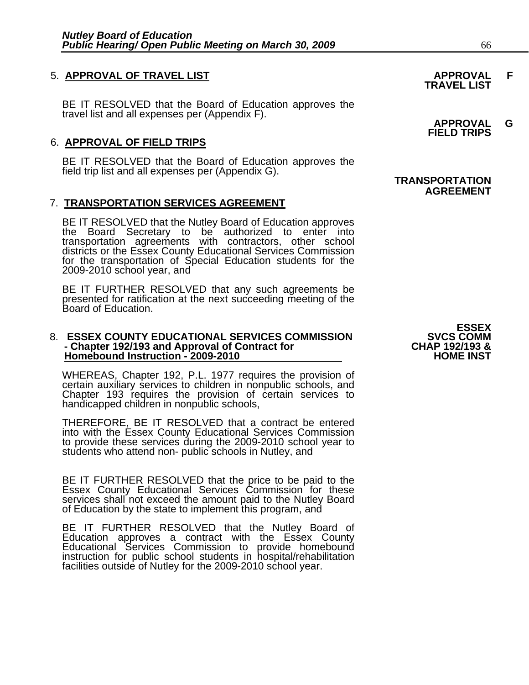## 5. **APPROVAL OF TRAVEL LIST APPROVAL F TRAVEL LIST**

BE IT RESOLVED that the Board of Education approves the<br>travel list and all expenses per (Appendix F). **APPROVAL G FIELD TRIPS** 

#### 6. **APPROVAL OF FIELD TRIPS**

BE IT RESOLVED that the Board of Education approves the<br>field trip list and all expenses per (Appendix G). **TRANSPORTATION** 

#### 7. **TRANSPORTATION SERVICES AGREEMENT**

BE IT RESOLVED that the Nutley Board of Education approves<br>the Board Secretary to be authorized to enter into transportation agreements with contractors, other school districts or the Essex County Educational Services Commission for the transportation of Special Education students for the 2009-2010 school year, and

BE IT FURTHER RESOLVED that any such agreements be presented for ratification at the next succeeding meeting of the Board of Education.

#### 8. **ESSEX COUNTY EDUCATIONAL SERVICES COMMISSION** SVCS COMM<br>8 **CHAP 192/193** and Approval of Contract for **SCIAL CHAP 192/193 - Chapter 192/193 and Approval of Contract for CHAP 192/193 & Homebound Instruction - 2009-2010**

WHEREAS, Chapter 192, P.L. 1977 requires the provision of certain auxiliary services to children in nonpublic schools, and Chapter 193 requires the provision of certain services to handicapped children in nonpublic schools,

THEREFORE, BE IT RESOLVED that a contract be entered into with the Essex County Educational Services Commission to provide these services during the 2009-2010 school year to students who attend non- public schools in Nutley, and

BE IT FURTHER RESOLVED that the price to be paid to the Essex County Educational Services Commission for these services shall not exceed the amount paid to the Nutley Board of Education by the state to implement this program, and

BE IT FURTHER RESOLVED that the Nutley Board of<br>Education approves a contract with the Essex County Educational Services Commission to provide homebound instruction for public school students in hospital/rehabilitation<br>facilities outside of Nutley for the 2009-2010 school year.

# **AGREEMENT**

**ESSEX<br>SVCS COMM**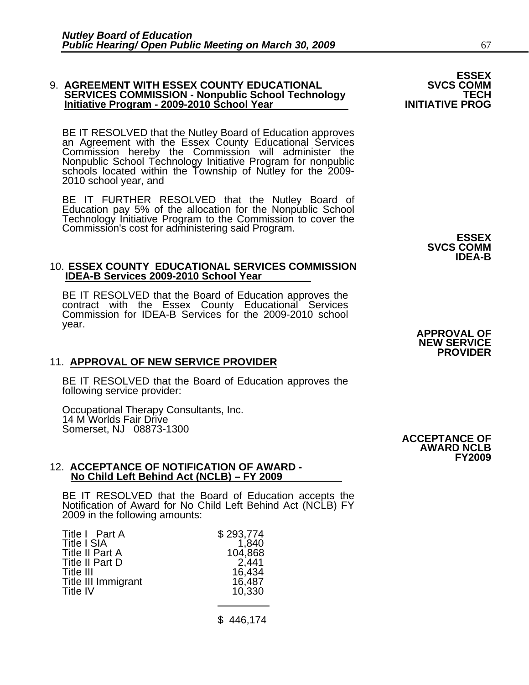### 9. **AGREEMENT WITH ESSEX COUNTY EDUCATIONAL SVCS COMM SERVICES COMMISSION - Nonpublic School Technology TECH Initiative Program - 2009-2010 School Year INITIATIVE PROG**

BE IT RESOLVED that the Nutley Board of Education approves an Agreement with the Essex County Educational Services Commission hereby the Commission will administer the Nonpublic School Technology Initiative Program for nonpublic schools located within the Township of Nutley for the 2009- 2010 school year, and

BE IT FURTHER RESOLVED that the Nutley Board of Education pay 5% of the allocation for the Nonpublic School Technology Initiative Program to the Commission to cover the Commission's cost for administering said Program. **ESSEX SVCS COMM IDEA-B** 

#### 10. **ESSEX COUNTY EDUCATIONAL SERVICES COMMISSION IDEA-B Services 2009-2010 School Year**

BE IT RESOLVED that the Board of Education approves the contract with the Essex County Educational Services Commission for IDEA-B Services for the 2009-2010 school year. year. **APPROVAL OF NEW SERVICE PROVIDER** 

#### 11. **APPROVAL OF NEW SERVICE PROVIDER**

BE IT RESOLVED that the Board of Education approves the following service provider:

Occupational Therapy Consultants, Inc. 14 M Worlds Fair Drive Somerset, NJ 08873-1300

#### 12. **ACCEPTANCE OF NOTIFICATION OF AWARD - No Child Left Behind Act (NCLB) – FY 2009**

BE IT RESOLVED that the Board of Education accepts the Notification of Award for No Child Left Behind Act (NCLB) FY 2009 in the following amounts:

| Title I Part A         | \$293,774 |
|------------------------|-----------|
| <b>Title I SIA</b>     | 1,840     |
| <b>Title II Part A</b> | 104,868   |
| Title II Part D        | 2,441     |
| Title III              | 16,434    |
| Title III Immigrant    | 16,487    |
| Title IV               | 10,330    |

\$ 446,174

**ACCEPTANCE OF AWARD NCLB FY2009**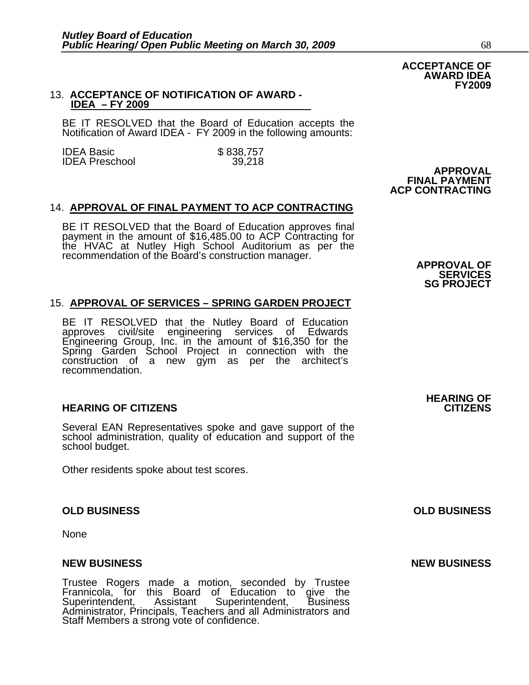#### 13. **ACCEPTANCE OF NOTIFICATION OF AWARD - IDEA – FY 2009**

BE IT RESOLVED that the Board of Education accepts the Notification of Award IDEA - FY 2009 in the following amounts:

IDEA Basic \$ 838,757 **IDEA Preschool APPROVAL FINAL PAYMENT** 

### 14. **APPROVAL OF FINAL PAYMENT TO ACP CONTRACTING**

BE IT RESOLVED that the Board of Education approves final<br>payment in the amount of \$16,485.00 to ACP Contracting for<br>the HVAC at Nutley High School Auditorium as per the<br>recommendation of the Board's construction manager.<br>

### 15. **APPROVAL OF SERVICES – SPRING GARDEN PROJECT**

BE IT RESOLVED that the Nutley Board of Education<br>approves civil/site engineering services of Edwards<br>Engineering Group, Inc. in the amount of \$16,350 for the Spring Garden School Project in connection with the construction of a new gym as per the architect's recommendation.

#### **HEARING OF CITIZENS CITIZENS**

Several EAN Representatives spoke and gave support of the school administration, quality of education and support of the school budget.

Other residents spoke about test scores.

#### **OLD BUSINESS OLD BUSINESS**

None

#### **NEW BUSINESS NEW BUSINESS**

Trustee Rogers made a motion, seconded by Trustee Frannicola, for this Board of Education to give the Superintendent, Assistant Superintendent, Business Administrator, Principals, Teachers and all Administrators and Staff Members a strong vote of confidence.

**HEARING OF** 

**ACCEPTANCE OF AWARD IDEA FY2009** 

 **ACP CONTRACTING**